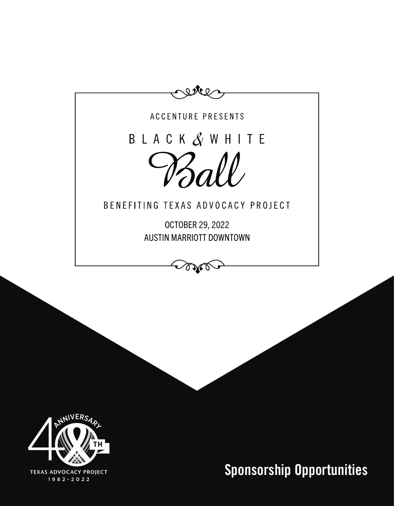



**Sponsorship Opportunities**